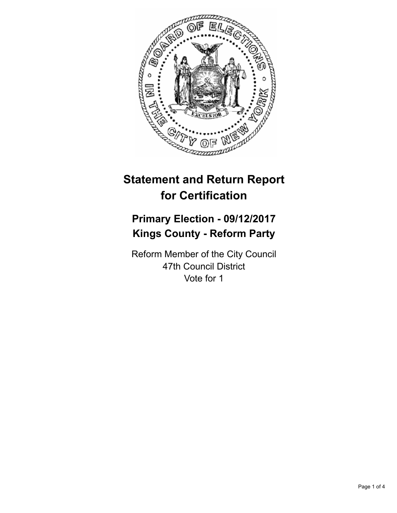

# **Statement and Return Report for Certification**

# **Primary Election - 09/12/2017 Kings County - Reform Party**

Reform Member of the City Council 47th Council District Vote for 1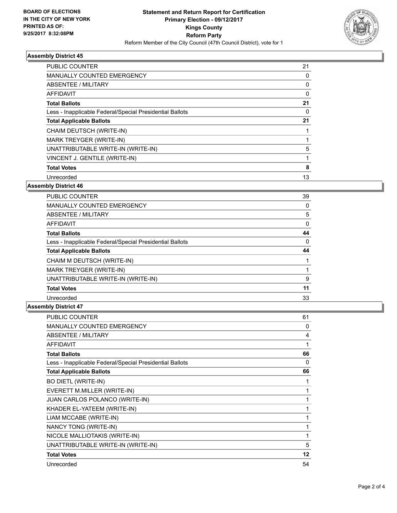

### **Assembly District 45**

| <b>PUBLIC COUNTER</b>                                    | 21 |
|----------------------------------------------------------|----|
| <b>MANUALLY COUNTED EMERGENCY</b>                        | 0  |
| ABSENTEE / MILITARY                                      | 0  |
| AFFIDAVIT                                                | 0  |
| <b>Total Ballots</b>                                     | 21 |
| Less - Inapplicable Federal/Special Presidential Ballots | 0  |
| <b>Total Applicable Ballots</b>                          | 21 |
| CHAIM DEUTSCH (WRITE-IN)                                 |    |
| MARK TREYGER (WRITE-IN)                                  |    |
| UNATTRIBUTABLE WRITE-IN (WRITE-IN)                       | 5  |
| VINCENT J. GENTILE (WRITE-IN)                            |    |
| <b>Total Votes</b>                                       | 8  |
| Unrecorded                                               | 13 |
|                                                          |    |

#### **Assembly District 46**

| <b>PUBLIC COUNTER</b>                                    | 39 |
|----------------------------------------------------------|----|
| <b>MANUALLY COUNTED EMERGENCY</b>                        | 0  |
| ABSENTEE / MILITARY                                      | 5  |
| <b>AFFIDAVIT</b>                                         | 0  |
| <b>Total Ballots</b>                                     | 44 |
| Less - Inapplicable Federal/Special Presidential Ballots | 0  |
| <b>Total Applicable Ballots</b>                          | 44 |
| CHAIM M DEUTSCH (WRITE-IN)                               |    |
|                                                          |    |
| MARK TREYGER (WRITE-IN)                                  |    |
| UNATTRIBUTABLE WRITE-IN (WRITE-IN)                       | 9  |
| <b>Total Votes</b>                                       | 11 |

### **Assembly District 47**

| <b>PUBLIC COUNTER</b>                                    | 61       |
|----------------------------------------------------------|----------|
| <b>MANUALLY COUNTED EMERGENCY</b>                        | 0        |
| <b>ABSENTEE / MILITARY</b>                               | 4        |
| AFFIDAVIT                                                |          |
| <b>Total Ballots</b>                                     | 66       |
| Less - Inapplicable Federal/Special Presidential Ballots | $\Omega$ |
| <b>Total Applicable Ballots</b>                          | 66       |
| <b>BO DIETL (WRITE-IN)</b>                               |          |
| EVERETT M.MILLER (WRITE-IN)                              |          |
| JUAN CARLOS POLANCO (WRITE-IN)                           |          |
| KHADER EL-YATEEM (WRITE-IN)                              |          |
| LIAM MCCABE (WRITE-IN)                                   |          |
| NANCY TONG (WRITE-IN)                                    |          |
| NICOLE MALLIOTAKIS (WRITE-IN)                            |          |
| UNATTRIBUTABLE WRITE-IN (WRITE-IN)                       | 5        |
| <b>Total Votes</b>                                       | 12       |
| Unrecorded                                               | 54       |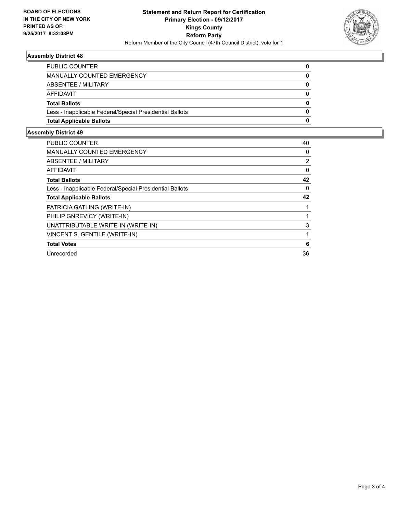

### **Assembly District 48**

| <b>Total Applicable Ballots</b>                          | 0        |
|----------------------------------------------------------|----------|
| Less - Inapplicable Federal/Special Presidential Ballots | $\Omega$ |
| <b>Total Ballots</b>                                     | 0        |
| AFFIDAVIT                                                | $\Omega$ |
| ABSENTEE / MILITARY                                      | 0        |
| MANUALLY COUNTED EMERGENCY                               |          |
| <b>PUBLIC COUNTER</b>                                    | 0        |

## **Assembly District 49**

| <b>PUBLIC COUNTER</b>                                    | 40             |
|----------------------------------------------------------|----------------|
| <b>MANUALLY COUNTED EMERGENCY</b>                        | 0              |
| ABSENTEE / MILITARY                                      | $\overline{2}$ |
| AFFIDAVIT                                                | 0              |
| <b>Total Ballots</b>                                     | 42             |
| Less - Inapplicable Federal/Special Presidential Ballots | 0              |
| <b>Total Applicable Ballots</b>                          | 42             |
| PATRICIA GATLING (WRITE-IN)                              |                |
| PHILIP GNREVICY (WRITE-IN)                               |                |
| UNATTRIBUTABLE WRITE-IN (WRITE-IN)                       | 3              |
| VINCENT S. GENTILE (WRITE-IN)                            |                |
| <b>Total Votes</b>                                       | 6              |
| Unrecorded                                               | 36             |